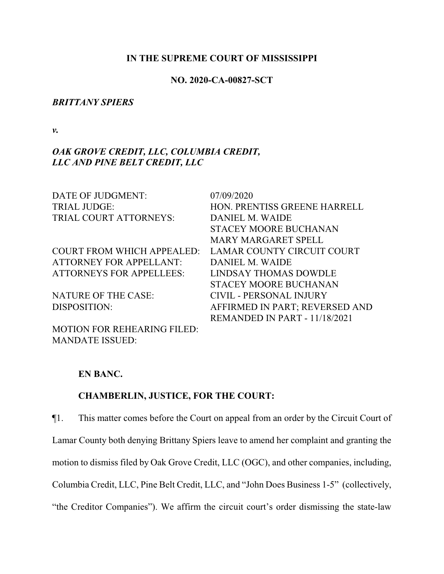#### **IN THE SUPREME COURT OF MISSISSIPPI**

#### **NO. 2020-CA-00827-SCT**

#### *BRITTANY SPIERS*

*v.*

# *OAK GROVE CREDIT, LLC, COLUMBIA CREDIT, LLC AND PINE BELT CREDIT, LLC*

| DATE OF JUDGMENT:                  | 07/09/2020                     |
|------------------------------------|--------------------------------|
| <b>TRIAL JUDGE:</b>                | HON. PRENTISS GREENE HARRELL   |
| TRIAL COURT ATTORNEYS:             | DANIEL M. WAIDE                |
|                                    | <b>STACEY MOORE BUCHANAN</b>   |
|                                    | <b>MARY MARGARET SPELL</b>     |
| <b>COURT FROM WHICH APPEALED:</b>  | LAMAR COUNTY CIRCUIT COURT     |
| <b>ATTORNEY FOR APPELLANT:</b>     | DANIEL M. WAIDE                |
| <b>ATTORNEYS FOR APPELLEES:</b>    | LINDSAY THOMAS DOWDLE          |
|                                    | <b>STACEY MOORE BUCHANAN</b>   |
| <b>NATURE OF THE CASE:</b>         | <b>CIVIL - PERSONAL INJURY</b> |
| DISPOSITION:                       | AFFIRMED IN PART; REVERSED AND |
|                                    | REMANDED IN PART - 11/18/2021  |
| <b>MOTION FOR REHEARING FILED:</b> |                                |

#### **EN BANC.**

MANDATE ISSUED:

# **CHAMBERLIN, JUSTICE, FOR THE COURT:**

¶1. This matter comes before the Court on appeal from an order by the Circuit Court of Lamar County both denying Brittany Spiers leave to amend her complaint and granting the motion to dismiss filed by Oak Grove Credit, LLC (OGC), and other companies, including, Columbia Credit, LLC, Pine Belt Credit, LLC, and "John Does Business 1-5" (collectively, "the Creditor Companies"). We affirm the circuit court's order dismissing the state-law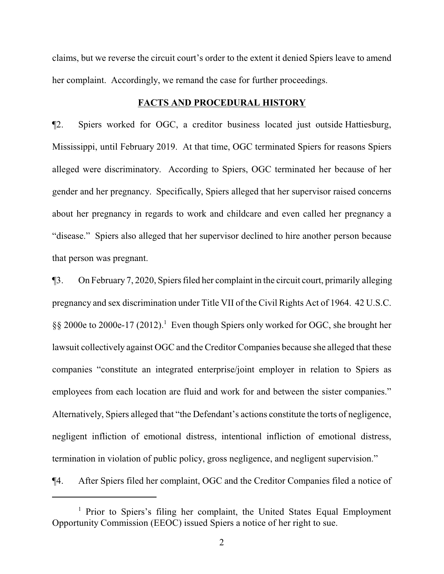claims, but we reverse the circuit court's order to the extent it denied Spiers leave to amend her complaint. Accordingly, we remand the case for further proceedings.

#### **FACTS AND PROCEDURAL HISTORY**

¶2. Spiers worked for OGC, a creditor business located just outside Hattiesburg, Mississippi, until February 2019. At that time, OGC terminated Spiers for reasons Spiers alleged were discriminatory. According to Spiers, OGC terminated her because of her gender and her pregnancy. Specifically, Spiers alleged that her supervisor raised concerns about her pregnancy in regards to work and childcare and even called her pregnancy a "disease." Spiers also alleged that her supervisor declined to hire another person because that person was pregnant.

¶3. On February 7, 2020, Spiers filed her complaint in the circuit court, primarily alleging pregnancy and sex discrimination under Title VII of the Civil Rights Act of 1964. 42 U.S.C. §§ 2000e to 2000e-17 (2012).<sup>1</sup> Even though Spiers only worked for OGC, she brought her lawsuit collectively against OGC and the Creditor Companies because she alleged that these companies "constitute an integrated enterprise/joint employer in relation to Spiers as employees from each location are fluid and work for and between the sister companies." Alternatively, Spiers alleged that "the Defendant's actions constitute the torts of negligence, negligent infliction of emotional distress, intentional infliction of emotional distress, termination in violation of public policy, gross negligence, and negligent supervision."

¶4. After Spiers filed her complaint, OGC and the Creditor Companies filed a notice of

<sup>&</sup>lt;sup>1</sup> Prior to Spiers's filing her complaint, the United States Equal Employment Opportunity Commission (EEOC) issued Spiers a notice of her right to sue.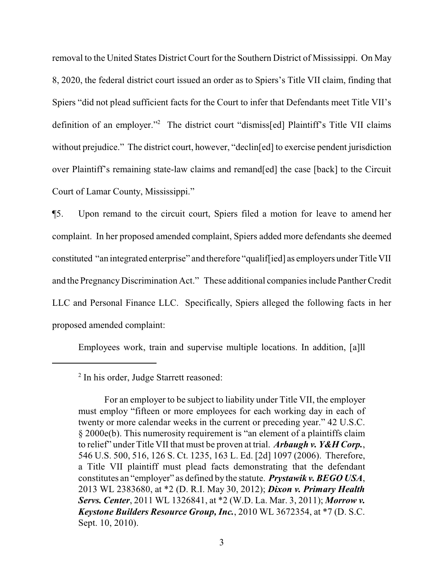removal to the United States District Court for the Southern District of Mississippi. On May 8, 2020, the federal district court issued an order as to Spiers's Title VII claim, finding that Spiers "did not plead sufficient facts for the Court to infer that Defendants meet Title VII's definition of an employer."<sup>2</sup> The district court "dismiss[ed] Plaintiff's Title VII claims without prejudice." The district court, however, "declin[ed] to exercise pendent jurisdiction over Plaintiff's remaining state-law claims and remand[ed] the case [back] to the Circuit Court of Lamar County, Mississippi."

¶5. Upon remand to the circuit court, Spiers filed a motion for leave to amend her complaint. In her proposed amended complaint, Spiers added more defendants she deemed constituted "an integrated enterprise" and therefore "qualif[ied] as employers under Title VII and the PregnancyDiscrimination Act." These additional companies include Panther Credit LLC and Personal Finance LLC. Specifically, Spiers alleged the following facts in her proposed amended complaint:

Employees work, train and supervise multiple locations. In addition, [a]ll

<sup>&</sup>lt;sup>2</sup> In his order, Judge Starrett reasoned:

For an employer to be subject to liability under Title VII, the employer must employ "fifteen or more employees for each working day in each of twenty or more calendar weeks in the current or preceding year." 42 U.S.C. § 2000e(b). This numerosity requirement is "an element of a plaintiffs claim to relief" under Title VII that must be proven at trial. *Arbaugh v. Y&H Corp.*, 546 U.S. 500, 516, 126 S. Ct. 1235, 163 L. Ed. [2d] 1097 (2006). Therefore, a Title VII plaintiff must plead facts demonstrating that the defendant constitutes an "employer" as defined by the statute. *Prystawik v. BEGO USA*, 2013 WL 2383680, at \*2 (D. R.I. May 30, 2012); *Dixon v. Primary Health Servs. Center*, 2011 WL 1326841, at \*2 (W.D. La. Mar. 3, 2011); *Morrow v. Keystone Builders Resource Group, Inc.*, 2010 WL 3672354, at \*7 (D. S.C. Sept. 10, 2010).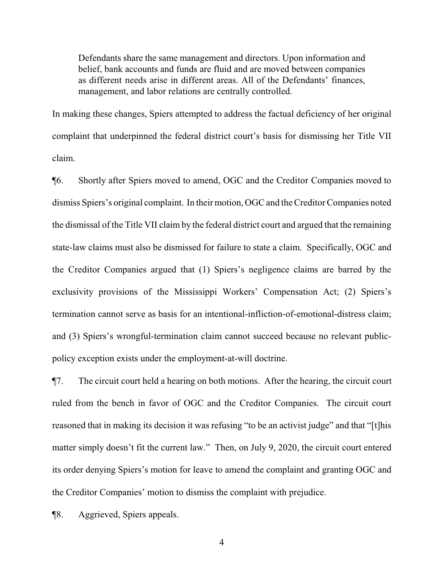Defendants share the same management and directors. Upon information and belief, bank accounts and funds are fluid and are moved between companies as different needs arise in different areas. All of the Defendants' finances, management, and labor relations are centrally controlled.

In making these changes, Spiers attempted to address the factual deficiency of her original complaint that underpinned the federal district court's basis for dismissing her Title VII claim.

¶6. Shortly after Spiers moved to amend, OGC and the Creditor Companies moved to dismiss Spiers's original complaint. In their motion, OGC and the Creditor Companies noted the dismissal of the Title VII claim by the federal district court and argued that the remaining state-law claims must also be dismissed for failure to state a claim. Specifically, OGC and the Creditor Companies argued that (1) Spiers's negligence claims are barred by the exclusivity provisions of the Mississippi Workers' Compensation Act; (2) Spiers's termination cannot serve as basis for an intentional-infliction-of-emotional-distress claim; and (3) Spiers's wrongful-termination claim cannot succeed because no relevant publicpolicy exception exists under the employment-at-will doctrine.

¶7. The circuit court held a hearing on both motions. After the hearing, the circuit court ruled from the bench in favor of OGC and the Creditor Companies. The circuit court reasoned that in making its decision it was refusing "to be an activist judge" and that "[t]his matter simply doesn't fit the current law." Then, on July 9, 2020, the circuit court entered its order denying Spiers's motion for leave to amend the complaint and granting OGC and the Creditor Companies' motion to dismiss the complaint with prejudice.

¶8. Aggrieved, Spiers appeals.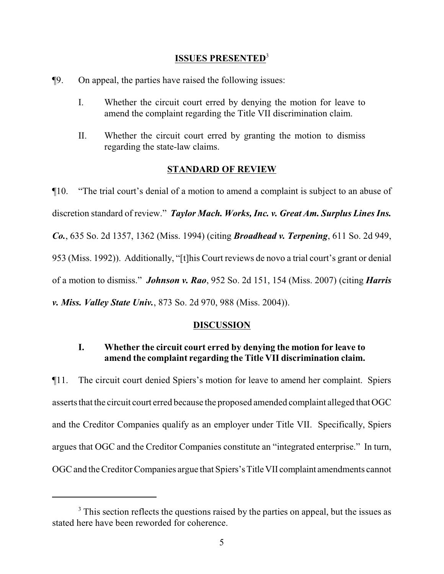### **ISSUES PRESENTED**<sup>3</sup>

- ¶9. On appeal, the parties have raised the following issues:
	- I. Whether the circuit court erred by denying the motion for leave to amend the complaint regarding the Title VII discrimination claim.
	- II. Whether the circuit court erred by granting the motion to dismiss regarding the state-law claims.

### **STANDARD OF REVIEW**

¶10. "The trial court's denial of a motion to amend a complaint is subject to an abuse of discretion standard of review." *Taylor Mach. Works, Inc. v. Great Am. Surplus Lines Ins. Co.*, 635 So. 2d 1357, 1362 (Miss. 1994) (citing *Broadhead v. Terpening*, 611 So. 2d 949, 953 (Miss. 1992)). Additionally, "[t]his Court reviews de novo a trial court's grant or denial of a motion to dismiss." *Johnson v. Rao*, 952 So. 2d 151, 154 (Miss. 2007) (citing *Harris v. Miss. Valley State Univ.*, 873 So. 2d 970, 988 (Miss. 2004)).

### **DISCUSSION**

## **I. Whether the circuit court erred by denying the motion for leave to amend the complaint regarding the Title VII discrimination claim.**

¶11. The circuit court denied Spiers's motion for leave to amend her complaint. Spiers asserts that the circuit court erred because the proposed amended complaint alleged that OGC and the Creditor Companies qualify as an employer under Title VII. Specifically, Spiers argues that OGC and the Creditor Companies constitute an "integrated enterprise." In turn, OGC and the Creditor Companies argue that Spiers's Title VII complaint amendments cannot

<sup>&</sup>lt;sup>3</sup> This section reflects the questions raised by the parties on appeal, but the issues as stated here have been reworded for coherence.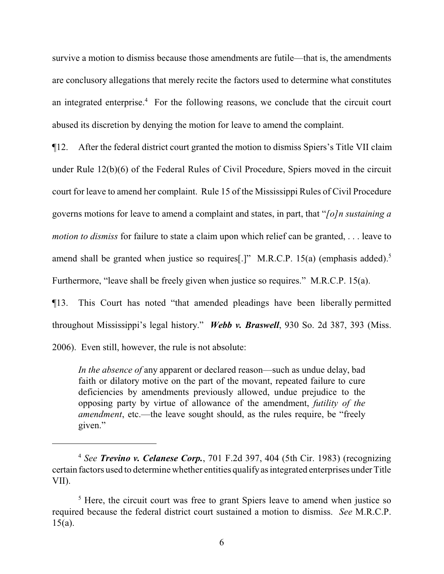survive a motion to dismiss because those amendments are futile—that is, the amendments are conclusory allegations that merely recite the factors used to determine what constitutes an integrated enterprise.<sup>4</sup> For the following reasons, we conclude that the circuit court abused its discretion by denying the motion for leave to amend the complaint.

¶12. After the federal district court granted the motion to dismiss Spiers's Title VII claim under Rule 12(b)(6) of the Federal Rules of Civil Procedure, Spiers moved in the circuit court for leave to amend her complaint. Rule 15 of the Mississippi Rules of Civil Procedure governs motions for leave to amend a complaint and states, in part, that "*[o]n sustaining a motion to dismiss* for failure to state a claim upon which relief can be granted, . . . leave to amend shall be granted when justice so requires[.]" M.R.C.P. 15(a) (emphasis added).<sup>5</sup> Furthermore, "leave shall be freely given when justice so requires." M.R.C.P. 15(a).

¶13. This Court has noted "that amended pleadings have been liberally permitted throughout Mississippi's legal history." *Webb v. Braswell*, 930 So. 2d 387, 393 (Miss.

2006). Even still, however, the rule is not absolute:

*In the absence of* any apparent or declared reason—such as undue delay, bad faith or dilatory motive on the part of the movant, repeated failure to cure deficiencies by amendments previously allowed, undue prejudice to the opposing party by virtue of allowance of the amendment, *futility of the amendment*, etc.—the leave sought should, as the rules require, be "freely given."

<sup>4</sup> *See Trevino v. Celanese Corp.*, 701 F.2d 397, 404 (5th Cir. 1983) (recognizing certain factors used to determine whether entities qualifyas integrated enterprises underTitle VII).

 $<sup>5</sup>$  Here, the circuit court was free to grant Spiers leave to amend when justice so</sup> required because the federal district court sustained a motion to dismiss. *See* M.R.C.P. 15(a).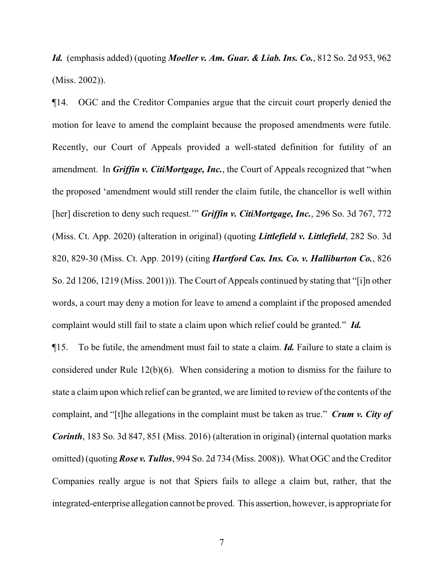*Id.* (emphasis added) (quoting *Moeller v. Am. Guar. & Liab. Ins. Co.*, 812 So. 2d 953, 962 (Miss. 2002)).

¶14. OGC and the Creditor Companies argue that the circuit court properly denied the motion for leave to amend the complaint because the proposed amendments were futile. Recently, our Court of Appeals provided a well-stated definition for futility of an amendment. In *Griffin v. CitiMortgage, Inc.*, the Court of Appeals recognized that "when the proposed 'amendment would still render the claim futile, the chancellor is well within [her] discretion to deny such request.'" *Griffin v. CitiMortgage, Inc.*, 296 So. 3d 767, 772 (Miss. Ct. App. 2020) (alteration in original) (quoting *Littlefield v. Littlefield*, 282 So. 3d 820, 829-30 (Miss. Ct. App. 2019) (citing *Hartford Cas. Ins. Co. v. Halliburton Co.*, 826 So. 2d 1206, 1219 (Miss. 2001))). The Court of Appeals continued by stating that "[i]n other words, a court may deny a motion for leave to amend a complaint if the proposed amended complaint would still fail to state a claim upon which relief could be granted." *Id.*

¶15. To be futile, the amendment must fail to state a claim. *Id.* Failure to state a claim is considered under Rule 12(b)(6). When considering a motion to dismiss for the failure to state a claim upon which relief can be granted, we are limited to review of the contents of the complaint, and "[t]he allegations in the complaint must be taken as true." *Crum v. City of Corinth*, 183 So. 3d 847, 851 (Miss. 2016) (alteration in original) (internal quotation marks omitted) (quoting *Rose v. Tullos*, 994 So. 2d 734 (Miss. 2008)). What OGC and the Creditor Companies really argue is not that Spiers fails to allege a claim but, rather, that the integrated-enterprise allegation cannot be proved. This assertion, however, is appropriate for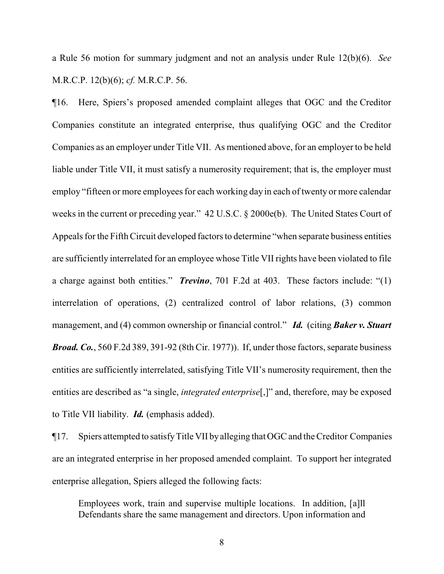a Rule 56 motion for summary judgment and not an analysis under Rule 12(b)(6). *See* M.R.C.P. 12(b)(6); *cf.* M.R.C.P. 56.

¶16. Here, Spiers's proposed amended complaint alleges that OGC and the Creditor Companies constitute an integrated enterprise, thus qualifying OGC and the Creditor Companies as an employer under Title VII. As mentioned above, for an employer to be held liable under Title VII, it must satisfy a numerosity requirement; that is, the employer must employ "fifteen or more employees for each working day in each of twenty or more calendar weeks in the current or preceding year." 42 U.S.C. § 2000e(b). The United States Court of Appeals for the Fifth Circuit developed factors to determine "when separate business entities are sufficiently interrelated for an employee whose Title VII rights have been violated to file a charge against both entities." *Trevino*, 701 F.2d at 403. These factors include: "(1) interrelation of operations, (2) centralized control of labor relations, (3) common management, and (4) common ownership or financial control." *Id.* (citing *Baker v. Stuart Broad. Co.*, 560 F.2d 389, 391-92 (8th Cir. 1977)). If, under those factors, separate business entities are sufficiently interrelated, satisfying Title VII's numerosity requirement, then the entities are described as "a single, *integrated enterprise*[,]" and, therefore, may be exposed to Title VII liability. *Id.* (emphasis added).

¶17. Spiers attempted to satisfyTitle VII byalleging that OGC and the Creditor Companies are an integrated enterprise in her proposed amended complaint. To support her integrated enterprise allegation, Spiers alleged the following facts:

Employees work, train and supervise multiple locations. In addition, [a]ll Defendants share the same management and directors. Upon information and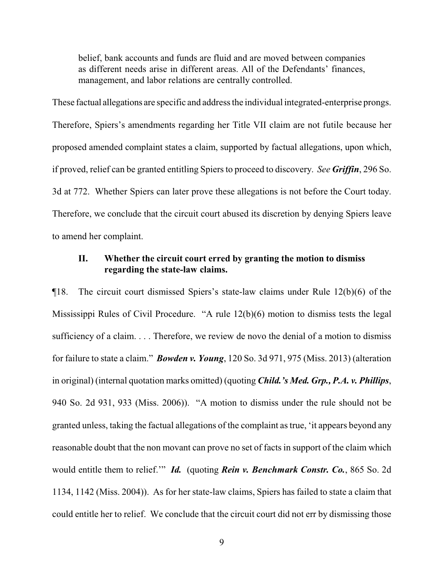belief, bank accounts and funds are fluid and are moved between companies as different needs arise in different areas. All of the Defendants' finances, management, and labor relations are centrally controlled.

These factual allegations are specific and address the individual integrated-enterprise prongs. Therefore, Spiers's amendments regarding her Title VII claim are not futile because her proposed amended complaint states a claim, supported by factual allegations, upon which, if proved, relief can be granted entitling Spiers to proceed to discovery. *See Griffin*, 296 So. 3d at 772. Whether Spiers can later prove these allegations is not before the Court today. Therefore, we conclude that the circuit court abused its discretion by denying Spiers leave to amend her complaint.

### **II. Whether the circuit court erred by granting the motion to dismiss regarding the state-law claims.**

¶18. The circuit court dismissed Spiers's state-law claims under Rule 12(b)(6) of the Mississippi Rules of Civil Procedure. "A rule 12(b)(6) motion to dismiss tests the legal sufficiency of a claim. . . . Therefore, we review de novo the denial of a motion to dismiss for failure to state a claim." *Bowden v. Young*, 120 So. 3d 971, 975 (Miss. 2013) (alteration in original) (internal quotation marks omitted) (quoting *Child.'s Med. Grp., P.A. v. Phillips*, 940 So. 2d 931, 933 (Miss. 2006)). "A motion to dismiss under the rule should not be granted unless, taking the factual allegations of the complaint as true, 'it appears beyond any reasonable doubt that the non movant can prove no set of facts in support of the claim which would entitle them to relief.'" *Id.* (quoting *Rein v. Benchmark Constr. Co.*, 865 So. 2d 1134, 1142 (Miss. 2004)). As for her state-law claims, Spiers has failed to state a claim that could entitle her to relief. We conclude that the circuit court did not err by dismissing those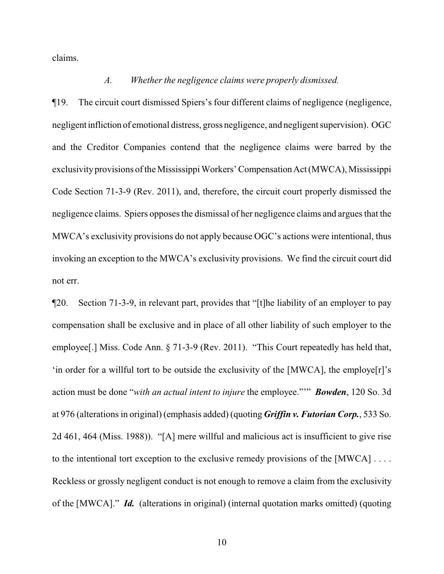claims.

# *A. Whether the negligence claims were properly dismissed.*

¶19. The circuit court dismissed Spiers's four different claims of negligence (negligence, negligent infliction of emotional distress, gross negligence, and negligent supervision). OGC and the Creditor Companies contend that the negligence claims were barred by the exclusivity provisions of the Mississippi Workers' Compensation Act (MWCA), Mississippi Code Section 71-3-9 (Rev. 2011), and, therefore, the circuit court properly dismissed the negligence claims. Spiers opposes the dismissal of her negligence claims and argues that the MWCA's exclusivity provisions do not apply because OGC's actions were intentional, thus invoking an exception to the MWCA's exclusivity provisions. We find the circuit court did not err.

¶20. Section 71-3-9, in relevant part, provides that "[t]he liability of an employer to pay compensation shall be exclusive and in place of all other liability of such employer to the employee[.] Miss. Code Ann. § 71-3-9 (Rev. 2011). "This Court repeatedly has held that, 'in order for a willful tort to be outside the exclusivity of the [MWCA], the employe[r]'s action must be done "*with an actual intent to injure* the employee."'" *Bowden*, 120 So. 3d at 976 (alterations in original) (emphasis added) (quoting *Griffin v. Futorian Corp.*, 533 So. 2d 461, 464 (Miss. 1988)). "[A] mere willful and malicious act is insufficient to give rise to the intentional tort exception to the exclusive remedy provisions of the [MWCA] . . . . Reckless or grossly negligent conduct is not enough to remove a claim from the exclusivity of the [MWCA]." *Id.* (alterations in original) (internal quotation marks omitted) (quoting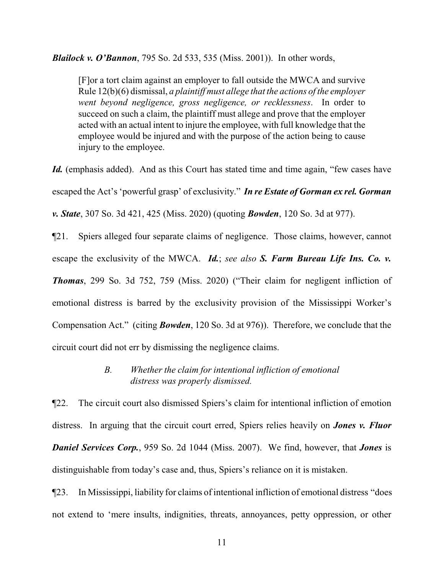*Blailock v. O'Bannon*, 795 So. 2d 533, 535 (Miss. 2001)). In other words,

[F]or a tort claim against an employer to fall outside the MWCA and survive Rule 12(b)(6) dismissal, *a plaintiff must allege that the actions of the employer went beyond negligence, gross negligence, or recklessness*. In order to succeed on such a claim, the plaintiff must allege and prove that the employer acted with an actual intent to injure the employee, with full knowledge that the employee would be injured and with the purpose of the action being to cause injury to the employee.

Id. (emphasis added). And as this Court has stated time and time again, "few cases have escaped the Act's 'powerful grasp' of exclusivity." *In re Estate of Gorman ex rel. Gorman v. State*, 307 So. 3d 421, 425 (Miss. 2020) (quoting *Bowden*, 120 So. 3d at 977).

¶21. Spiers alleged four separate claims of negligence. Those claims, however, cannot escape the exclusivity of the MWCA. *Id.*; *see also S. Farm Bureau Life Ins. Co. v. Thomas*, 299 So. 3d 752, 759 (Miss. 2020) ("Their claim for negligent infliction of emotional distress is barred by the exclusivity provision of the Mississippi Worker's Compensation Act." (citing *Bowden*, 120 So. 3d at 976)). Therefore, we conclude that the circuit court did not err by dismissing the negligence claims.

## *B. Whether the claim for intentional infliction of emotional distress was properly dismissed.*

¶22. The circuit court also dismissed Spiers's claim for intentional infliction of emotion distress. In arguing that the circuit court erred, Spiers relies heavily on *Jones v. Fluor Daniel Services Corp.*, 959 So. 2d 1044 (Miss. 2007). We find, however, that *Jones* is distinguishable from today's case and, thus, Spiers's reliance on it is mistaken.

¶23. In Mississippi, liability for claims of intentional infliction of emotional distress "does not extend to 'mere insults, indignities, threats, annoyances, petty oppression, or other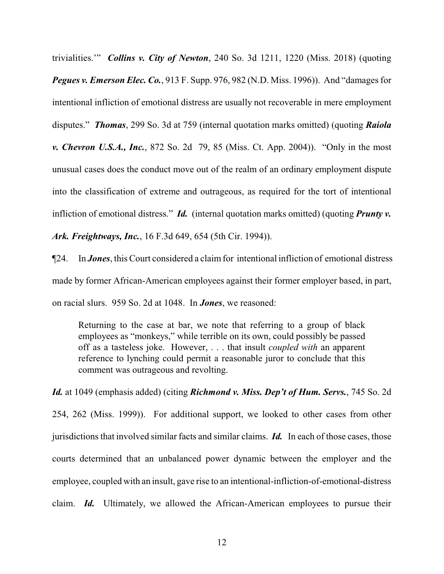trivialities.'" *Collins v. City of Newton*, 240 So. 3d 1211, 1220 (Miss. 2018) (quoting *Pegues v. Emerson Elec. Co.*, 913 F. Supp. 976, 982 (N.D. Miss. 1996)). And "damages for intentional infliction of emotional distress are usually not recoverable in mere employment disputes." *Thomas*, 299 So. 3d at 759 (internal quotation marks omitted) (quoting *Raiola v. Chevron U.S.A., Inc.*, 872 So. 2d 79, 85 (Miss. Ct. App. 2004)). "Only in the most unusual cases does the conduct move out of the realm of an ordinary employment dispute into the classification of extreme and outrageous, as required for the tort of intentional infliction of emotional distress." *Id.* (internal quotation marks omitted) (quoting *Prunty v. Ark. Freightways, Inc.*, 16 F.3d 649, 654 (5th Cir. 1994)).

¶24. In *Jones*, this Court considered a claimfor intentional infliction of emotional distress made by former African-American employees against their former employer based, in part, on racial slurs. 959 So. 2d at 1048. In *Jones*, we reasoned:

Returning to the case at bar, we note that referring to a group of black employees as "monkeys," while terrible on its own, could possibly be passed off as a tasteless joke. However, . . . that insult *coupled with* an apparent reference to lynching could permit a reasonable juror to conclude that this comment was outrageous and revolting.

*Id.* at 1049 (emphasis added) (citing *Richmond v. Miss. Dep't of Hum. Servs.*, 745 So. 2d 254, 262 (Miss. 1999)). For additional support, we looked to other cases from other jurisdictions that involved similar facts and similar claims. *Id.* In each of those cases, those courts determined that an unbalanced power dynamic between the employer and the employee, coupled with an insult, gave rise to an intentional-infliction-of-emotional-distress claim. *Id.* Ultimately, we allowed the African-American employees to pursue their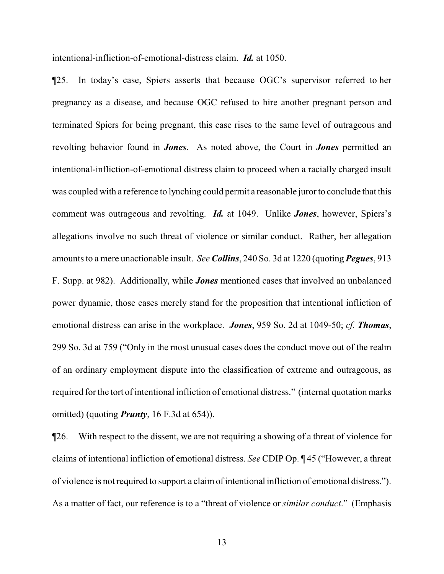intentional-infliction-of-emotional-distress claim. *Id.* at 1050.

¶25. In today's case, Spiers asserts that because OGC's supervisor referred to her pregnancy as a disease, and because OGC refused to hire another pregnant person and terminated Spiers for being pregnant, this case rises to the same level of outrageous and revolting behavior found in *Jones*. As noted above, the Court in *Jones* permitted an intentional-infliction-of-emotional distress claim to proceed when a racially charged insult was coupled with a reference to lynching could permit a reasonable juror to conclude that this comment was outrageous and revolting. *Id.* at 1049. Unlike *Jones*, however, Spiers's allegations involve no such threat of violence or similar conduct. Rather, her allegation amounts to a mere unactionable insult. *See Collins*, 240 So. 3d at 1220 (quoting *Pegues*, 913 F. Supp. at 982). Additionally, while *Jones* mentioned cases that involved an unbalanced power dynamic, those cases merely stand for the proposition that intentional infliction of emotional distress can arise in the workplace. *Jones*, 959 So. 2d at 1049-50; *cf. Thomas*, 299 So. 3d at 759 ("Only in the most unusual cases does the conduct move out of the realm of an ordinary employment dispute into the classification of extreme and outrageous, as required for the tort of intentional infliction of emotional distress." (internal quotation marks omitted) (quoting *Prunty*, 16 F.3d at 654)).

¶26. With respect to the dissent, we are not requiring a showing of a threat of violence for claims of intentional infliction of emotional distress. *See* CDIP Op. ¶ 45 ("However, a threat of violence is not required to support a claimof intentional infliction of emotional distress."). As a matter of fact, our reference is to a "threat of violence or *similar conduct*." (Emphasis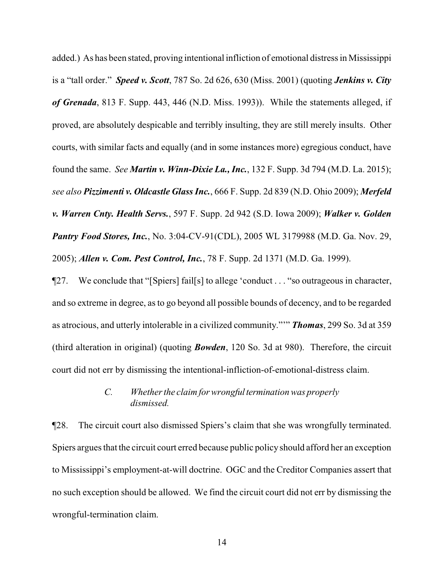added.) As has been stated, proving intentional infliction of emotional distress in Mississippi is a "tall order." *Speed v. Scott*, 787 So. 2d 626, 630 (Miss. 2001) (quoting *Jenkins v. City of Grenada*, 813 F. Supp. 443, 446 (N.D. Miss. 1993)). While the statements alleged, if proved, are absolutely despicable and terribly insulting, they are still merely insults. Other courts, with similar facts and equally (and in some instances more) egregious conduct, have found the same. *See Martin v. Winn-Dixie La., Inc.*, 132 F. Supp. 3d 794 (M.D. La. 2015); *see also Pizzimenti v. Oldcastle Glass Inc.*, 666 F. Supp. 2d 839 (N.D. Ohio 2009); *Merfeld v. Warren Cnty. Health Servs.*, 597 F. Supp. 2d 942 (S.D. Iowa 2009); *Walker v. Golden Pantry Food Stores, Inc.*, No. 3:04-CV-91(CDL), 2005 WL 3179988 (M.D. Ga. Nov. 29, 2005); *Allen v. Com. Pest Control, Inc.*, 78 F. Supp. 2d 1371 (M.D. Ga. 1999).

¶27. We conclude that "[Spiers] fail[s] to allege 'conduct . . . "so outrageous in character, and so extreme in degree, as to go beyond all possible bounds of decency, and to be regarded as atrocious, and utterly intolerable in a civilized community."'" *Thomas*, 299 So. 3d at 359 (third alteration in original) (quoting *Bowden*, 120 So. 3d at 980). Therefore, the circuit court did not err by dismissing the intentional-infliction-of-emotional-distress claim.

## *C.* Whether the claim for wrongful termination was properly *dismissed.*

¶28. The circuit court also dismissed Spiers's claim that she was wrongfully terminated. Spiers argues that the circuit court erred because public policy should afford her an exception to Mississippi's employment-at-will doctrine. OGC and the Creditor Companies assert that no such exception should be allowed. We find the circuit court did not err by dismissing the wrongful-termination claim.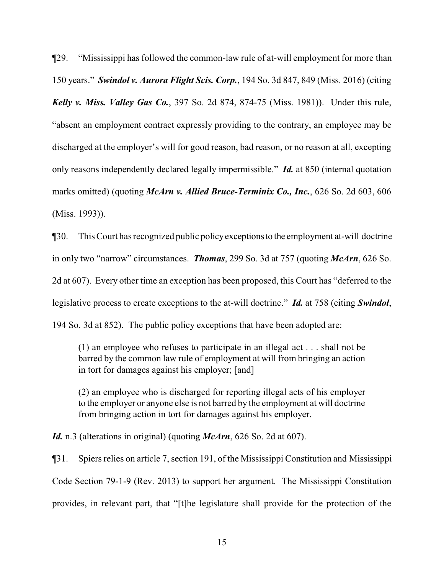¶29. "Mississippi has followed the common-law rule of at-will employment for more than 150 years." *Swindol v. Aurora Flight Scis. Corp.*, 194 So. 3d 847, 849 (Miss. 2016) (citing *Kelly v. Miss. Valley Gas Co.*, 397 So. 2d 874, 874-75 (Miss. 1981)). Under this rule, "absent an employment contract expressly providing to the contrary, an employee may be discharged at the employer's will for good reason, bad reason, or no reason at all, excepting only reasons independently declared legally impermissible." *Id.* at 850 (internal quotation marks omitted) (quoting *McArn v. Allied Bruce-Terminix Co., Inc.*, 626 So. 2d 603, 606 (Miss. 1993)).

¶30. This Court has recognized public policyexceptionsto the employment at-will doctrine in only two "narrow" circumstances. *Thomas*, 299 So. 3d at 757 (quoting *McArn*, 626 So. 2d at 607). Every other time an exception has been proposed, this Court has "deferred to the legislative process to create exceptions to the at-will doctrine." *Id.* at 758 (citing *Swindol*, 194 So. 3d at 852). The public policy exceptions that have been adopted are:

(1) an employee who refuses to participate in an illegal act . . . shall not be barred by the common law rule of employment at will from bringing an action in tort for damages against his employer; [and]

(2) an employee who is discharged for reporting illegal acts of his employer to the employer or anyone else is not barred by the employment at will doctrine from bringing action in tort for damages against his employer.

*Id.* n.3 (alterations in original) (quoting *McArn*, 626 So. 2d at 607).

¶31. Spiers relies on article 7, section 191, of the Mississippi Constitution and Mississippi Code Section 79-1-9 (Rev. 2013) to support her argument. The Mississippi Constitution provides, in relevant part, that "[t]he legislature shall provide for the protection of the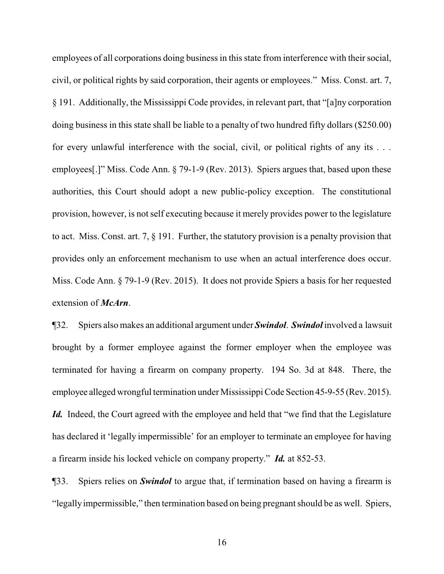employees of all corporations doing business in this state from interference with their social, civil, or political rights by said corporation, their agents or employees." Miss. Const. art. 7, § 191. Additionally, the Mississippi Code provides, in relevant part, that "[a]ny corporation doing business in this state shall be liable to a penalty of two hundred fifty dollars (\$250.00) for every unlawful interference with the social, civil, or political rights of any its . . . employees[.]" Miss. Code Ann. § 79-1-9 (Rev. 2013). Spiers argues that, based upon these authorities, this Court should adopt a new public-policy exception. The constitutional provision, however, is not self executing because it merely provides power to the legislature to act. Miss. Const. art. 7, § 191. Further, the statutory provision is a penalty provision that provides only an enforcement mechanism to use when an actual interference does occur. Miss. Code Ann. § 79-1-9 (Rev. 2015). It does not provide Spiers a basis for her requested extension of *McArn*.

¶32. Spiers also makes an additional argument under *Swindol*. *Swindol* involved a lawsuit brought by a former employee against the former employer when the employee was terminated for having a firearm on company property. 194 So. 3d at 848. There, the employee alleged wrongful termination under Mississippi Code Section 45-9-55 (Rev. 2015). *Id.* Indeed, the Court agreed with the employee and held that "we find that the Legislature" has declared it 'legally impermissible' for an employer to terminate an employee for having a firearm inside his locked vehicle on company property." *Id.* at 852-53.

¶33. Spiers relies on *Swindol* to argue that, if termination based on having a firearm is "legally impermissible," then termination based on being pregnant should be as well. Spiers,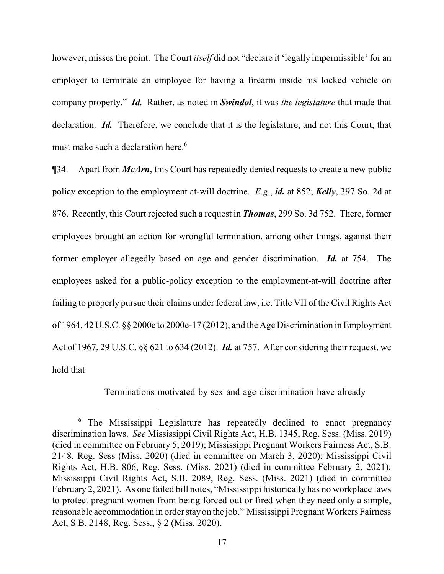however, misses the point. The Court *itself* did not "declare it 'legally impermissible' for an employer to terminate an employee for having a firearm inside his locked vehicle on company property." *Id.* Rather, as noted in *Swindol*, it was *the legislature* that made that declaration. *Id.* Therefore, we conclude that it is the legislature, and not this Court, that must make such a declaration here.<sup>6</sup>

¶34. Apart from *McArn*, this Court has repeatedly denied requests to create a new public policy exception to the employment at-will doctrine. *E.g.*, *id.* at 852; *Kelly*, 397 So. 2d at 876. Recently, this Court rejected such a request in *Thomas*, 299 So. 3d 752. There, former employees brought an action for wrongful termination, among other things, against their former employer allegedly based on age and gender discrimination. *Id.* at 754. The employees asked for a public-policy exception to the employment-at-will doctrine after failing to properly pursue their claims under federal law, i.e. Title VII of the Civil Rights Act of 1964, 42 U.S.C. §§ 2000e to 2000e-17 (2012), and the Age Discrimination in Employment Act of 1967, 29 U.S.C. §§ 621 to 634 (2012). *Id.* at 757. After considering their request, we held that

Terminations motivated by sex and age discrimination have already

<sup>6</sup> The Mississippi Legislature has repeatedly declined to enact pregnancy discrimination laws. *See* Mississippi Civil Rights Act, H.B. 1345, Reg. Sess. (Miss. 2019) (died in committee on February 5, 2019); Mississippi Pregnant Workers Fairness Act, S.B. 2148, Reg. Sess (Miss. 2020) (died in committee on March 3, 2020); Mississippi Civil Rights Act, H.B. 806, Reg. Sess. (Miss. 2021) (died in committee February 2, 2021); Mississippi Civil Rights Act, S.B. 2089, Reg. Sess. (Miss. 2021) (died in committee February 2, 2021). As one failed bill notes, "Mississippi historically has no workplace laws to protect pregnant women from being forced out or fired when they need only a simple, reasonable accommodation in order stayon the job." Mississippi Pregnant Workers Fairness Act, S.B. 2148, Reg. Sess., § 2 (Miss. 2020).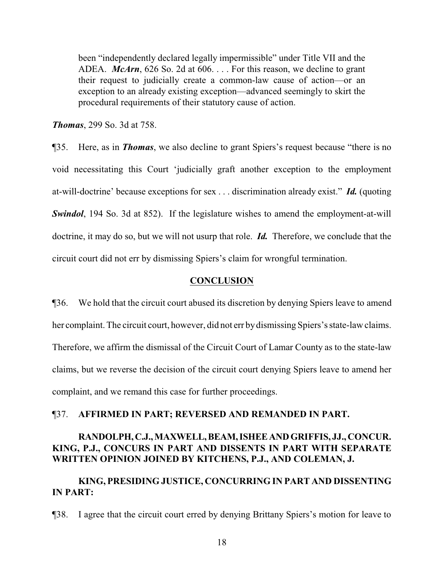been "independently declared legally impermissible" under Title VII and the ADEA. *McArn*, 626 So. 2d at 606. . . . For this reason, we decline to grant their request to judicially create a common-law cause of action—or an exception to an already existing exception—advanced seemingly to skirt the procedural requirements of their statutory cause of action.

*Thomas*, 299 So. 3d at 758.

¶35. Here, as in *Thomas*, we also decline to grant Spiers's request because "there is no void necessitating this Court 'judicially graft another exception to the employment at-will-doctrine' because exceptions for sex . . . discrimination already exist." *Id.* (quoting *Swindol*, 194 So. 3d at 852). If the legislature wishes to amend the employment-at-will doctrine, it may do so, but we will not usurp that role. *Id.* Therefore, we conclude that the circuit court did not err by dismissing Spiers's claim for wrongful termination.

#### **CONCLUSION**

¶36. We hold that the circuit court abused its discretion by denying Spiers leave to amend her complaint. The circuit court, however, did not err by dismissing Spiers's state-law claims. Therefore, we affirm the dismissal of the Circuit Court of Lamar County as to the state-law claims, but we reverse the decision of the circuit court denying Spiers leave to amend her complaint, and we remand this case for further proceedings.

#### ¶37. **AFFIRMED IN PART; REVERSED AND REMANDED IN PART.**

# **RANDOLPH,C.J.,MAXWELL,BEAM,ISHEEANDGRIFFIS, JJ., CONCUR. KING, P.J., CONCURS IN PART AND DISSENTS IN PART WITH SEPARATE WRITTEN OPINION JOINED BY KITCHENS, P.J., AND COLEMAN, J.**

# **KING, PRESIDING JUSTICE, CONCURRING IN PART AND DISSENTING IN PART:**

¶38. I agree that the circuit court erred by denying Brittany Spiers's motion for leave to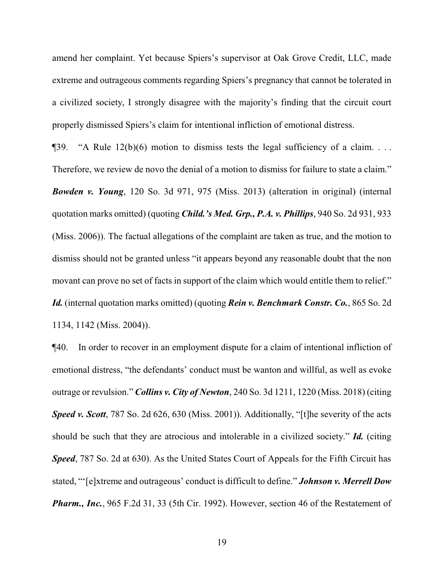amend her complaint. Yet because Spiers's supervisor at Oak Grove Credit, LLC, made extreme and outrageous comments regarding Spiers's pregnancy that cannot be tolerated in a civilized society, I strongly disagree with the majority's finding that the circuit court properly dismissed Spiers's claim for intentional infliction of emotional distress.

 $\P$ 39. "A Rule 12(b)(6) motion to dismiss tests the legal sufficiency of a claim. ... Therefore, we review de novo the denial of a motion to dismiss for failure to state a claim." *Bowden v. Young*, 120 So. 3d 971, 975 (Miss. 2013) (alteration in original) (internal quotation marks omitted) (quoting *Child.'s Med. Grp., P.A. v. Phillips*, 940 So. 2d 931, 933 (Miss. 2006)). The factual allegations of the complaint are taken as true, and the motion to dismiss should not be granted unless "it appears beyond any reasonable doubt that the non movant can prove no set of facts in support of the claim which would entitle them to relief." *Id.* (internal quotation marks omitted) (quoting *Rein v. Benchmark Constr. Co.*, 865 So. 2d 1134, 1142 (Miss. 2004)).

¶40. In order to recover in an employment dispute for a claim of intentional infliction of emotional distress, "the defendants' conduct must be wanton and willful, as well as evoke outrage or revulsion." *Collins v. City of Newton*, 240 So. 3d 1211, 1220 (Miss. 2018) (citing *Speed v. Scott*, 787 So. 2d 626, 630 (Miss. 2001)). Additionally, "[t]he severity of the acts should be such that they are atrocious and intolerable in a civilized society." *Id.* (citing *Speed*, 787 So. 2d at 630). As the United States Court of Appeals for the Fifth Circuit has stated, "'[e]xtreme and outrageous' conduct is difficult to define." *Johnson v. Merrell Dow Pharm., Inc.*, 965 F.2d 31, 33 (5th Cir. 1992). However, section 46 of the Restatement of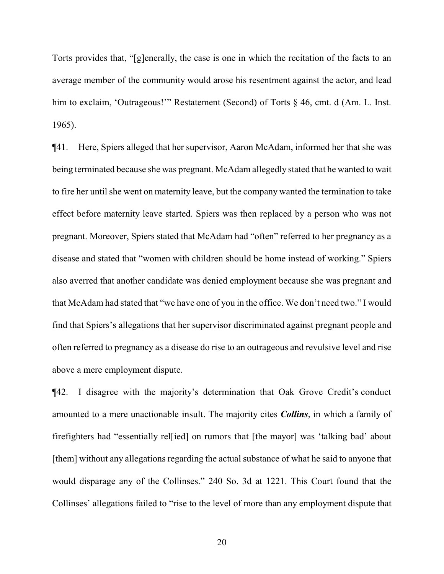Torts provides that, "[g]enerally, the case is one in which the recitation of the facts to an average member of the community would arose his resentment against the actor, and lead him to exclaim, 'Outrageous!'" Restatement (Second) of Torts § 46, cmt. d (Am. L. Inst. 1965).

¶41. Here, Spiers alleged that her supervisor, Aaron McAdam, informed her that she was being terminated because she was pregnant. McAdam allegedly stated that he wanted to wait to fire her until she went on maternity leave, but the company wanted the termination to take effect before maternity leave started. Spiers was then replaced by a person who was not pregnant. Moreover, Spiers stated that McAdam had "often" referred to her pregnancy as a disease and stated that "women with children should be home instead of working." Spiers also averred that another candidate was denied employment because she was pregnant and that McAdam had stated that "we have one of you in the office. We don't need two." I would find that Spiers's allegations that her supervisor discriminated against pregnant people and often referred to pregnancy as a disease do rise to an outrageous and revulsive level and rise above a mere employment dispute.

¶42. I disagree with the majority's determination that Oak Grove Credit's conduct amounted to a mere unactionable insult. The majority cites *Collins*, in which a family of firefighters had "essentially rel[ied] on rumors that [the mayor] was 'talking bad' about [them] without any allegations regarding the actual substance of what he said to anyone that would disparage any of the Collinses." 240 So. 3d at 1221. This Court found that the Collinses' allegations failed to "rise to the level of more than any employment dispute that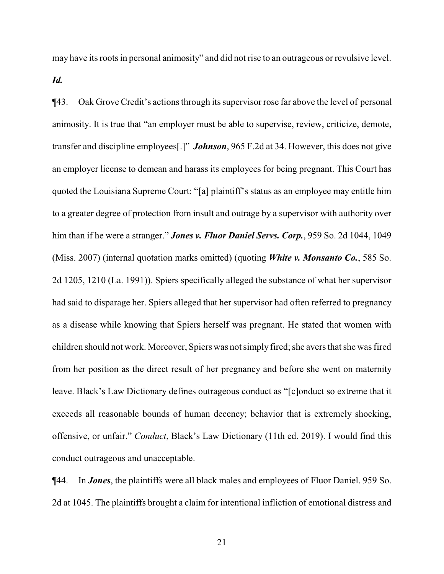may have its roots in personal animosity" and did not rise to an outrageous or revulsive level.

*Id.*

¶43. Oak Grove Credit's actions through its supervisor rose far above the level of personal animosity. It is true that "an employer must be able to supervise, review, criticize, demote, transfer and discipline employees[.]" *Johnson*, 965 F.2d at 34. However, this does not give an employer license to demean and harass its employees for being pregnant. This Court has quoted the Louisiana Supreme Court: "[a] plaintiff's status as an employee may entitle him to a greater degree of protection from insult and outrage by a supervisor with authority over him than if he were a stranger." *Jones v. Fluor Daniel Servs. Corp.*, 959 So. 2d 1044, 1049 (Miss. 2007) (internal quotation marks omitted) (quoting *White v. Monsanto Co.*, 585 So. 2d 1205, 1210 (La. 1991)). Spiers specifically alleged the substance of what her supervisor had said to disparage her. Spiers alleged that her supervisor had often referred to pregnancy as a disease while knowing that Spiers herself was pregnant. He stated that women with children should not work. Moreover, Spiers was not simply fired; she avers that she was fired from her position as the direct result of her pregnancy and before she went on maternity leave. Black's Law Dictionary defines outrageous conduct as "[c]onduct so extreme that it exceeds all reasonable bounds of human decency; behavior that is extremely shocking, offensive, or unfair." *Conduct*, Black's Law Dictionary (11th ed. 2019). I would find this conduct outrageous and unacceptable.

¶44. In *Jones*, the plaintiffs were all black males and employees of Fluor Daniel. 959 So. 2d at 1045. The plaintiffs brought a claim for intentional infliction of emotional distress and

21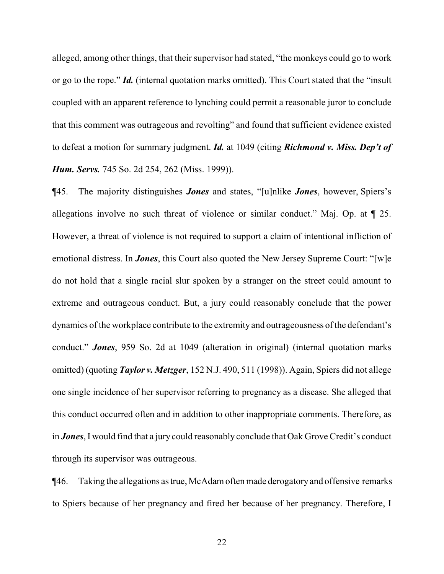alleged, among other things, that their supervisor had stated, "the monkeys could go to work or go to the rope." *Id.* (internal quotation marks omitted). This Court stated that the "insult coupled with an apparent reference to lynching could permit a reasonable juror to conclude that this comment was outrageous and revolting" and found that sufficient evidence existed to defeat a motion for summary judgment. *Id.* at 1049 (citing *Richmond v. Miss. Dep't of Hum. Servs.* 745 So. 2d 254, 262 (Miss. 1999)).

¶45. The majority distinguishes *Jones* and states, "[u]nlike *Jones*, however, Spiers's allegations involve no such threat of violence or similar conduct." Maj. Op. at ¶ 25. However, a threat of violence is not required to support a claim of intentional infliction of emotional distress. In *Jones*, this Court also quoted the New Jersey Supreme Court: "[w]e do not hold that a single racial slur spoken by a stranger on the street could amount to extreme and outrageous conduct. But, a jury could reasonably conclude that the power dynamics of the workplace contribute to the extremity and outrageousness of the defendant's conduct." *Jones*, 959 So. 2d at 1049 (alteration in original) (internal quotation marks omitted) (quoting *Taylor v. Metzger*, 152 N.J. 490, 511 (1998)). Again, Spiers did not allege one single incidence of her supervisor referring to pregnancy as a disease. She alleged that this conduct occurred often and in addition to other inappropriate comments. Therefore, as in *Jones*, I would find that a jury could reasonably conclude that Oak Grove Credit's conduct through its supervisor was outrageous.

¶46. Taking the allegations as true, McAdamoften made derogatoryand offensive remarks to Spiers because of her pregnancy and fired her because of her pregnancy. Therefore, I

22